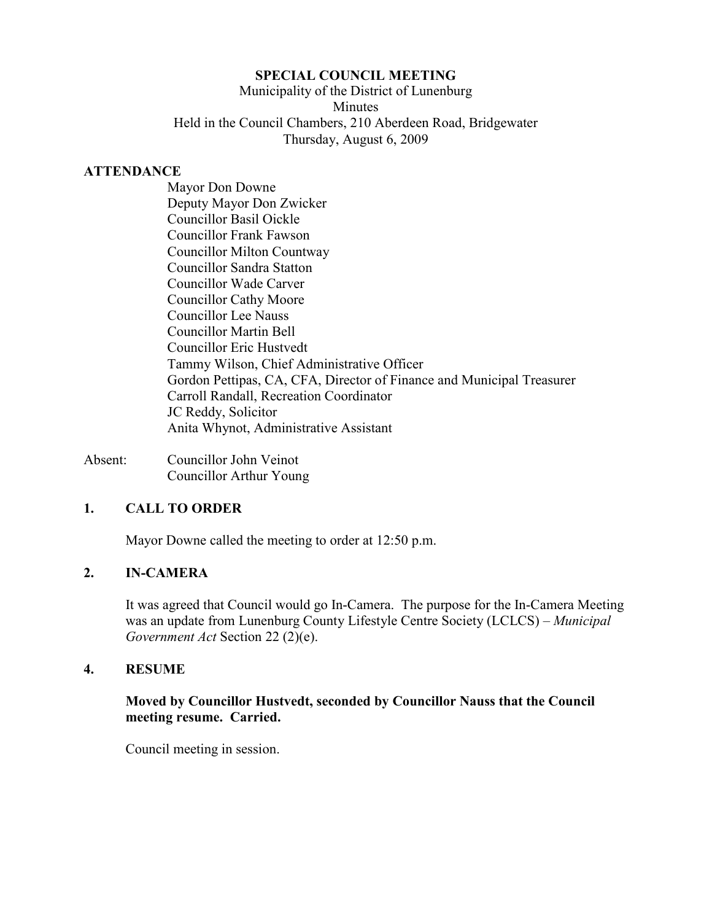## **SPECIAL COUNCIL MEETING**

Municipality of the District of Lunenburg Minutes Held in the Council Chambers, 210 Aberdeen Road, Bridgewater Thursday, August 6, 2009

#### **ATTENDANCE**

 Mayor Don Downe Deputy Mayor Don Zwicker Councillor Basil Oickle Councillor Frank Fawson Councillor Milton Countway Councillor Sandra Statton Councillor Wade Carver Councillor Cathy Moore Councillor Lee Nauss Councillor Martin Bell Councillor Eric Hustvedt Tammy Wilson, Chief Administrative Officer Gordon Pettipas, CA, CFA, Director of Finance and Municipal Treasurer Carroll Randall, Recreation Coordinator JC Reddy, Solicitor Anita Whynot, Administrative Assistant

Absent: Councillor John Veinot Councillor Arthur Young

# **1. CALL TO ORDER**

Mayor Downe called the meeting to order at 12:50 p.m.

## **2. IN-CAMERA**

 It was agreed that Council would go In-Camera. The purpose for the In-Camera Meeting was an update from Lunenburg County Lifestyle Centre Society (LCLCS) – *Municipal Government Act* Section 22 (2)(e).

#### **4. RESUME**

## **Moved by Councillor Hustvedt, seconded by Councillor Nauss that the Council meeting resume. Carried.**

Council meeting in session.